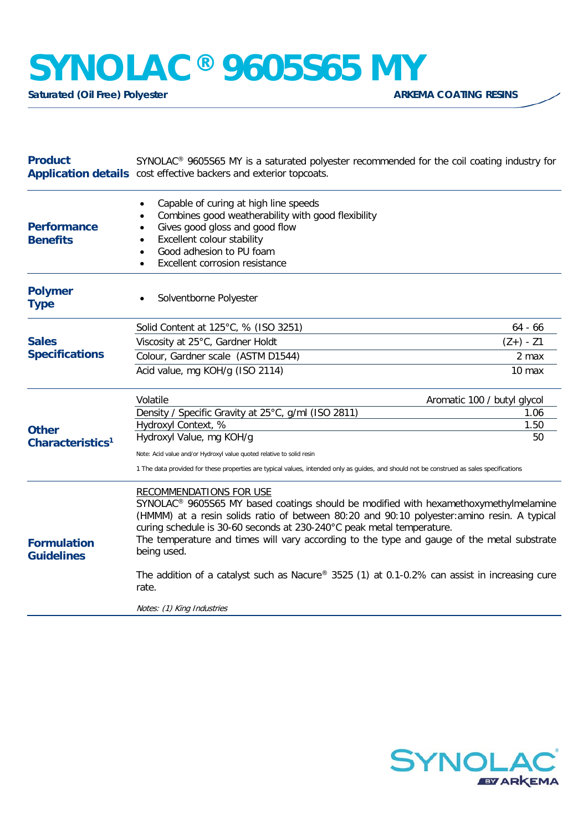## **SYNOLAC®** 9605S65 MY<br>Saturated (Oil Free) Polvester

**Saturated (Oil Free) Polyester** 

| Capable of curing at high line speeds<br>٠<br>Combines good weatherability with good flexibility<br>$\bullet$<br>Gives good gloss and good flow<br>$\bullet$<br><b>Benefits</b><br>Excellent colour stability<br>Good adhesion to PU foam<br>$\bullet$<br>Excellent corrosion resistance<br><b>Polymer</b><br>Solventborne Polyester<br><b>Type</b><br>Solid Content at 125°C, % (ISO 3251)<br>$64 - 66$<br><b>Sales</b><br>Viscosity at 25°C, Gardner Holdt<br>$(Z+) - Z1$<br><b>Specifications</b><br>Colour, Gardner scale (ASTM D1544)<br>2 max<br>Acid value, mg KOH/g (ISO 2114)<br>10 max<br>Volatile<br>Aromatic 100 / butyl glycol<br>Density / Specific Gravity at 25°C, g/ml (ISO 2811)<br>1.06<br>Hydroxyl Context, %<br>1.50<br><b>Other</b><br>Hydroxyl Value, mg KOH/g<br>50<br>Characteristics <sup>1</sup><br>Note: Acid value and/or Hydroxyl value quoted relative to solid resin<br>1 The data provided for these properties are typical values, intended only as guides, and should not be construed as sales specifications<br><b>RECOMMENDATIONS FOR USE</b><br>SYNOLAC <sup>®</sup> 9605S65 MY based coatings should be modified with hexamethoxymethylmelamine<br>(HMMM) at a resin solids ratio of between 80:20 and 90:10 polyester: amino resin. A typical<br>curing schedule is 30-60 seconds at 230-240°C peak metal temperature.<br>The temperature and times will vary according to the type and gauge of the metal substrate<br>being used.<br><b>Guidelines</b><br>The addition of a catalyst such as Nacure® 3525 (1) at 0.1-0.2% can assist in increasing cure<br>rate.<br>Notes: (1) King Industries | <b>Product</b>     | SYNOLAC <sup>®</sup> 9605S65 MY is a saturated polyester recommended for the coil coating industry for<br>Application details cost effective backers and exterior topcoats. |  |
|-------------------------------------------------------------------------------------------------------------------------------------------------------------------------------------------------------------------------------------------------------------------------------------------------------------------------------------------------------------------------------------------------------------------------------------------------------------------------------------------------------------------------------------------------------------------------------------------------------------------------------------------------------------------------------------------------------------------------------------------------------------------------------------------------------------------------------------------------------------------------------------------------------------------------------------------------------------------------------------------------------------------------------------------------------------------------------------------------------------------------------------------------------------------------------------------------------------------------------------------------------------------------------------------------------------------------------------------------------------------------------------------------------------------------------------------------------------------------------------------------------------------------------------------------------------------------------------------------------------------------------------------|--------------------|-----------------------------------------------------------------------------------------------------------------------------------------------------------------------------|--|
|                                                                                                                                                                                                                                                                                                                                                                                                                                                                                                                                                                                                                                                                                                                                                                                                                                                                                                                                                                                                                                                                                                                                                                                                                                                                                                                                                                                                                                                                                                                                                                                                                                           | <b>Performance</b> |                                                                                                                                                                             |  |
|                                                                                                                                                                                                                                                                                                                                                                                                                                                                                                                                                                                                                                                                                                                                                                                                                                                                                                                                                                                                                                                                                                                                                                                                                                                                                                                                                                                                                                                                                                                                                                                                                                           |                    |                                                                                                                                                                             |  |
|                                                                                                                                                                                                                                                                                                                                                                                                                                                                                                                                                                                                                                                                                                                                                                                                                                                                                                                                                                                                                                                                                                                                                                                                                                                                                                                                                                                                                                                                                                                                                                                                                                           |                    |                                                                                                                                                                             |  |
|                                                                                                                                                                                                                                                                                                                                                                                                                                                                                                                                                                                                                                                                                                                                                                                                                                                                                                                                                                                                                                                                                                                                                                                                                                                                                                                                                                                                                                                                                                                                                                                                                                           |                    |                                                                                                                                                                             |  |
|                                                                                                                                                                                                                                                                                                                                                                                                                                                                                                                                                                                                                                                                                                                                                                                                                                                                                                                                                                                                                                                                                                                                                                                                                                                                                                                                                                                                                                                                                                                                                                                                                                           |                    |                                                                                                                                                                             |  |
|                                                                                                                                                                                                                                                                                                                                                                                                                                                                                                                                                                                                                                                                                                                                                                                                                                                                                                                                                                                                                                                                                                                                                                                                                                                                                                                                                                                                                                                                                                                                                                                                                                           |                    |                                                                                                                                                                             |  |
|                                                                                                                                                                                                                                                                                                                                                                                                                                                                                                                                                                                                                                                                                                                                                                                                                                                                                                                                                                                                                                                                                                                                                                                                                                                                                                                                                                                                                                                                                                                                                                                                                                           |                    |                                                                                                                                                                             |  |
|                                                                                                                                                                                                                                                                                                                                                                                                                                                                                                                                                                                                                                                                                                                                                                                                                                                                                                                                                                                                                                                                                                                                                                                                                                                                                                                                                                                                                                                                                                                                                                                                                                           |                    |                                                                                                                                                                             |  |
|                                                                                                                                                                                                                                                                                                                                                                                                                                                                                                                                                                                                                                                                                                                                                                                                                                                                                                                                                                                                                                                                                                                                                                                                                                                                                                                                                                                                                                                                                                                                                                                                                                           |                    |                                                                                                                                                                             |  |
|                                                                                                                                                                                                                                                                                                                                                                                                                                                                                                                                                                                                                                                                                                                                                                                                                                                                                                                                                                                                                                                                                                                                                                                                                                                                                                                                                                                                                                                                                                                                                                                                                                           |                    |                                                                                                                                                                             |  |
|                                                                                                                                                                                                                                                                                                                                                                                                                                                                                                                                                                                                                                                                                                                                                                                                                                                                                                                                                                                                                                                                                                                                                                                                                                                                                                                                                                                                                                                                                                                                                                                                                                           |                    |                                                                                                                                                                             |  |
|                                                                                                                                                                                                                                                                                                                                                                                                                                                                                                                                                                                                                                                                                                                                                                                                                                                                                                                                                                                                                                                                                                                                                                                                                                                                                                                                                                                                                                                                                                                                                                                                                                           | <b>Formulation</b> |                                                                                                                                                                             |  |
|                                                                                                                                                                                                                                                                                                                                                                                                                                                                                                                                                                                                                                                                                                                                                                                                                                                                                                                                                                                                                                                                                                                                                                                                                                                                                                                                                                                                                                                                                                                                                                                                                                           |                    |                                                                                                                                                                             |  |
|                                                                                                                                                                                                                                                                                                                                                                                                                                                                                                                                                                                                                                                                                                                                                                                                                                                                                                                                                                                                                                                                                                                                                                                                                                                                                                                                                                                                                                                                                                                                                                                                                                           |                    |                                                                                                                                                                             |  |